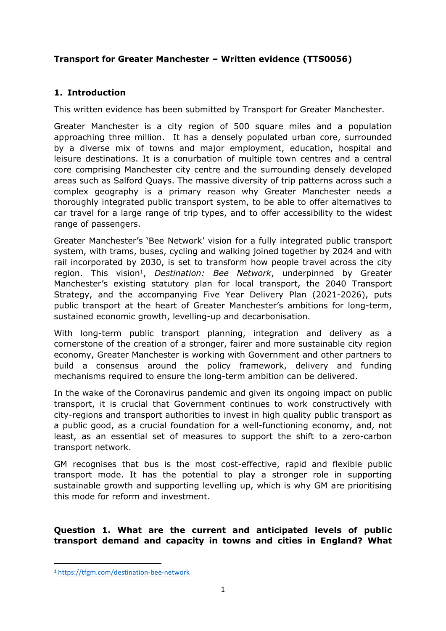# **Transport for Greater Manchester – Written evidence (TTS0056)**

# **1. Introduction**

This written evidence has been submitted by Transport for Greater Manchester.

Greater Manchester is a city region of 500 square miles and a population approaching three million. It has a densely populated urban core, surrounded by a diverse mix of towns and major employment, education, hospital and leisure destinations. It is a conurbation of multiple town centres and a central core comprising Manchester city centre and the surrounding densely developed areas such as Salford Quays. The massive diversity of trip patterns across such a complex geography is a primary reason why Greater Manchester needs a thoroughly integrated public transport system, to be able to offer alternatives to car travel for a large range of trip types, and to offer accessibility to the widest range of passengers.

Greater Manchester's 'Bee Network' vision for a fully integrated public transport system, with trams, buses, cycling and walking joined together by 2024 and with rail incorporated by 2030, is set to transform how people travel across the city region. This vision<sup>1</sup>, Destination: Bee Network, underpinned by Greater Manchester's existing statutory plan for local transport, the 2040 Transport Strategy, and the accompanying Five Year Delivery Plan (2021-2026), puts public transport at the heart of Greater Manchester's ambitions for long-term, sustained economic growth, levelling-up and decarbonisation.

With long-term public transport planning, integration and delivery as a cornerstone of the creation of a stronger, fairer and more sustainable city region economy, Greater Manchester is working with Government and other partners to build a consensus around the policy framework, delivery and funding mechanisms required to ensure the long-term ambition can be delivered.

In the wake of the Coronavirus pandemic and given its ongoing impact on public transport, it is crucial that Government continues to work constructively with city-regions and transport authorities to invest in high quality public transport as a public good, as a crucial foundation for a well-functioning economy, and, not least, as an essential set of measures to support the shift to a zero-carbon transport network.

GM recognises that bus is the most cost-effective, rapid and flexible public transport mode. It has the potential to play a stronger role in supporting sustainable growth and supporting levelling up, which is why GM are prioritising this mode for reform and investment.

**Question 1. What are the current and anticipated levels of public transport demand and capacity in towns and cities in England? What**

<sup>1</sup> <https://tfgm.com/destination-bee-network>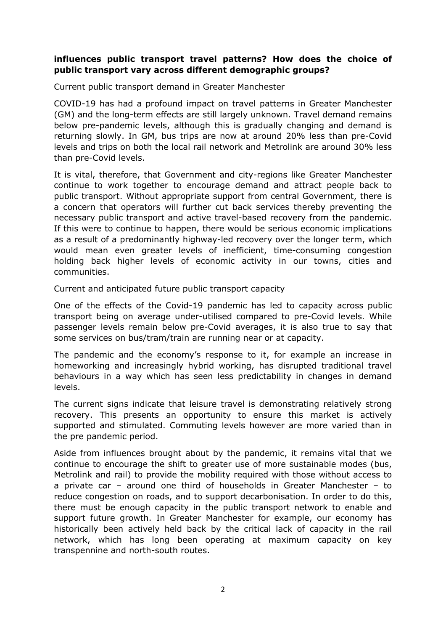### **influences public transport travel patterns? How does the choice of public transport vary across different demographic groups?**

#### Current public transport demand in Greater Manchester

COVID-19 has had a profound impact on travel patterns in Greater Manchester (GM) and the long-term effects are still largely unknown. Travel demand remains below pre-pandemic levels, although this is gradually changing and demand is returning slowly. In GM, bus trips are now at around 20% less than pre-Covid levels and trips on both the local rail network and Metrolink are around 30% less than pre-Covid levels.

It is vital, therefore, that Government and city-regions like Greater Manchester continue to work together to encourage demand and attract people back to public transport. Without appropriate support from central Government, there is a concern that operators will further cut back services thereby preventing the necessary public transport and active travel-based recovery from the pandemic. If this were to continue to happen, there would be serious economic implications as a result of a predominantly highway-led recovery over the longer term, which would mean even greater levels of inefficient, time-consuming congestion holding back higher levels of economic activity in our towns, cities and communities.

#### Current and anticipated future public transport capacity

One of the effects of the Covid-19 pandemic has led to capacity across public transport being on average under-utilised compared to pre-Covid levels. While passenger levels remain below pre-Covid averages, it is also true to say that some services on bus/tram/train are running near or at capacity.

The pandemic and the economy's response to it, for example an increase in homeworking and increasingly hybrid working, has disrupted traditional travel behaviours in a way which has seen less predictability in changes in demand levels.

The current signs indicate that leisure travel is demonstrating relatively strong recovery. This presents an opportunity to ensure this market is actively supported and stimulated. Commuting levels however are more varied than in the pre pandemic period.

Aside from influences brought about by the pandemic, it remains vital that we continue to encourage the shift to greater use of more sustainable modes (bus, Metrolink and rail) to provide the mobility required with those without access to a private car – around one third of households in Greater Manchester – to reduce congestion on roads, and to support decarbonisation. In order to do this, there must be enough capacity in the public transport network to enable and support future growth. In Greater Manchester for example, our economy has historically been actively held back by the critical lack of capacity in the rail network, which has long been operating at maximum capacity on key transpennine and north-south routes.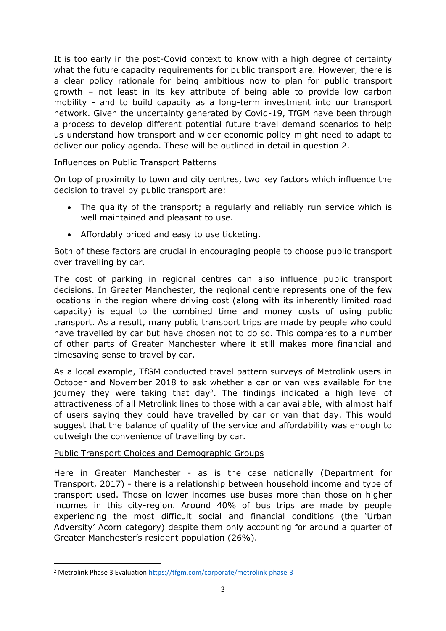It is too early in the post-Covid context to know with a high degree of certainty what the future capacity requirements for public transport are. However, there is a clear policy rationale for being ambitious now to plan for public transport growth – not least in its key attribute of being able to provide low carbon mobility - and to build capacity as a long-term investment into our transport network. Given the uncertainty generated by Covid-19, TfGM have been through a process to develop different potential future travel demand scenarios to help us understand how transport and wider economic policy might need to adapt to deliver our policy agenda. These will be outlined in detail in question 2.

### Influences on Public Transport Patterns

On top of proximity to town and city centres, two key factors which influence the decision to travel by public transport are:

- The quality of the transport; a regularly and reliably run service which is well maintained and pleasant to use.
- Affordably priced and easy to use ticketing.

Both of these factors are crucial in encouraging people to choose public transport over travelling by car.

The cost of parking in regional centres can also influence public transport decisions. In Greater Manchester, the regional centre represents one of the few locations in the region where driving cost (along with its inherently limited road capacity) is equal to the combined time and money costs of using public transport. As a result, many public transport trips are made by people who could have travelled by car but have chosen not to do so. This compares to a number of other parts of Greater Manchester where it still makes more financial and timesaving sense to travel by car.

As a local example, TfGM conducted travel pattern surveys of Metrolink users in October and November 2018 to ask whether a car or van was available for the journey they were taking that day<sup>2</sup>. The findings indicated a high level of attractiveness of all Metrolink lines to those with a car available, with almost half of users saying they could have travelled by car or van that day. This would suggest that the balance of quality of the service and affordability was enough to outweigh the convenience of travelling by car.

### Public Transport Choices and Demographic Groups

Here in Greater Manchester - as is the case nationally (Department for Transport, 2017) - there is a relationship between household income and type of transport used. Those on lower incomes use buses more than those on higher incomes in this city-region. Around 40% of bus trips are made by people experiencing the most difficult social and financial conditions (the 'Urban Adversity' Acorn category) despite them only accounting for around a quarter of Greater Manchester's resident population (26%).

<sup>2</sup> Metrolink Phase 3 Evaluation <https://tfgm.com/corporate/metrolink-phase-3>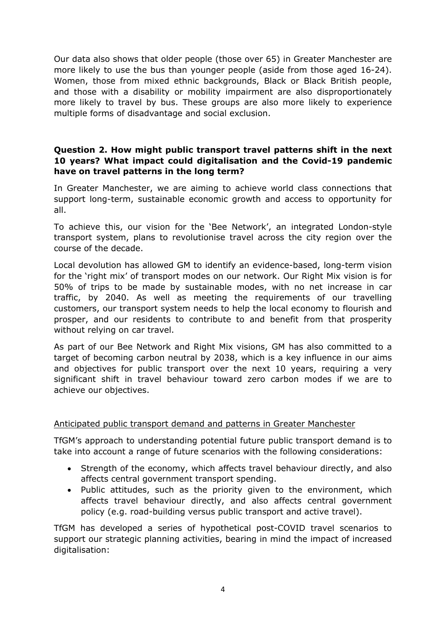Our data also shows that older people (those over 65) in Greater Manchester are more likely to use the bus than younger people (aside from those aged 16-24). Women, those from mixed ethnic backgrounds, Black or Black British people, and those with a disability or mobility impairment are also disproportionately more likely to travel by bus. These groups are also more likely to experience multiple forms of disadvantage and social exclusion.

### **Question 2. How might public transport travel patterns shift in the next 10 years? What impact could digitalisation and the Covid-19 pandemic have on travel patterns in the long term?**

In Greater Manchester, we are aiming to achieve world class connections that support long-term, sustainable economic growth and access to opportunity for all.

To achieve this, our vision for the 'Bee Network', an integrated London-style transport system, plans to revolutionise travel across the city region over the course of the decade.

Local devolution has allowed GM to identify an evidence-based, long-term vision for the 'right mix' of transport modes on our network. Our Right Mix vision is for 50% of trips to be made by sustainable modes, with no net increase in car traffic, by 2040. As well as meeting the requirements of our travelling customers, our transport system needs to help the local economy to flourish and prosper, and our residents to contribute to and benefit from that prosperity without relying on car travel.

As part of our Bee Network and Right Mix visions, GM has also committed to a target of becoming carbon neutral by 2038, which is a key influence in our aims and objectives for public transport over the next 10 years, requiring a very significant shift in travel behaviour toward zero carbon modes if we are to achieve our objectives.

### Anticipated public transport demand and patterns in Greater Manchester

TfGM's approach to understanding potential future public transport demand is to take into account a range of future scenarios with the following considerations:

- Strength of the economy, which affects travel behaviour directly, and also affects central government transport spending.
- Public attitudes, such as the priority given to the environment, which affects travel behaviour directly, and also affects central government policy (e.g. road-building versus public transport and active travel).

TfGM has developed a series of hypothetical post-COVID travel scenarios to support our strategic planning activities, bearing in mind the impact of increased digitalisation: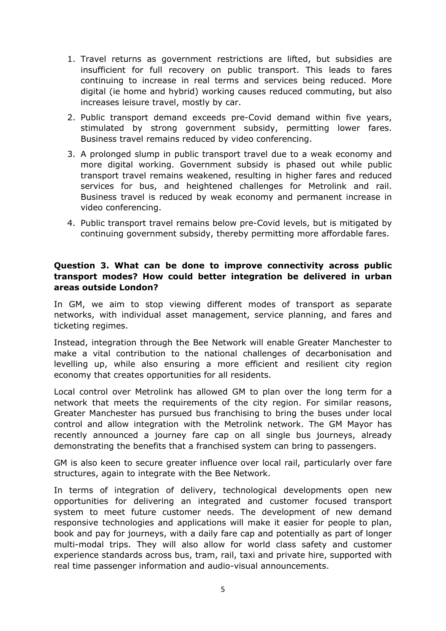- 1. Travel returns as government restrictions are lifted, but subsidies are insufficient for full recovery on public transport. This leads to fares continuing to increase in real terms and services being reduced. More digital (ie home and hybrid) working causes reduced commuting, but also increases leisure travel, mostly by car.
- 2. Public transport demand exceeds pre-Covid demand within five years, stimulated by strong government subsidy, permitting lower fares. Business travel remains reduced by video conferencing.
- 3. A prolonged slump in public transport travel due to a weak economy and more digital working. Government subsidy is phased out while public transport travel remains weakened, resulting in higher fares and reduced services for bus, and heightened challenges for Metrolink and rail. Business travel is reduced by weak economy and permanent increase in video conferencing.
- 4. Public transport travel remains below pre-Covid levels, but is mitigated by continuing government subsidy, thereby permitting more affordable fares.

### **Question 3. What can be done to improve connectivity across public transport modes? How could better integration be delivered in urban areas outside London?**

In GM, we aim to stop viewing different modes of transport as separate networks, with individual asset management, service planning, and fares and ticketing regimes.

Instead, integration through the Bee Network will enable Greater Manchester to make a vital contribution to the national challenges of decarbonisation and levelling up, while also ensuring a more efficient and resilient city region economy that creates opportunities for all residents.

Local control over Metrolink has allowed GM to plan over the long term for a network that meets the requirements of the city region. For similar reasons, Greater Manchester has pursued bus franchising to bring the buses under local control and allow integration with the Metrolink network. The GM Mayor has recently announced a journey fare cap on all single bus journeys, already demonstrating the benefits that a franchised system can bring to passengers.

GM is also keen to secure greater influence over local rail, particularly over fare structures, again to integrate with the Bee Network.

In terms of integration of delivery, technological developments open new opportunities for delivering an integrated and customer focused transport system to meet future customer needs. The development of new demand responsive technologies and applications will make it easier for people to plan, book and pay for journeys, with a daily fare cap and potentially as part of longer multi-modal trips. They will also allow for world class safety and customer experience standards across bus, tram, rail, taxi and private hire, supported with real time passenger information and audio-visual announcements.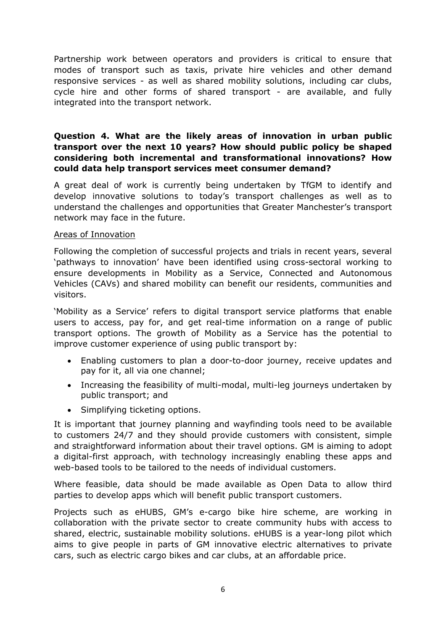Partnership work between operators and providers is critical to ensure that modes of transport such as taxis, private hire vehicles and other demand responsive services - as well as shared mobility solutions, including car clubs, cycle hire and other forms of shared transport - are available, and fully integrated into the transport network.

### **Question 4. What are the likely areas of innovation in urban public transport over the next 10 years? How should public policy be shaped considering both incremental and transformational innovations? How could data help transport services meet consumer demand?**

A great deal of work is currently being undertaken by TfGM to identify and develop innovative solutions to today's transport challenges as well as to understand the challenges and opportunities that Greater Manchester's transport network may face in the future.

#### Areas of Innovation

Following the completion of successful projects and trials in recent years, several 'pathways to innovation' have been identified using cross-sectoral working to ensure developments in Mobility as a Service, Connected and Autonomous Vehicles (CAVs) and shared mobility can benefit our residents, communities and visitors.

'Mobility as a Service' refers to digital transport service platforms that enable users to access, pay for, and get real-time information on a range of public transport options. The growth of Mobility as a Service has the potential to improve customer experience of using public transport by:

- Enabling customers to plan a door-to-door journey, receive updates and pay for it, all via one channel;
- Increasing the feasibility of multi-modal, multi-leg journeys undertaken by public transport; and
- Simplifying ticketing options.

It is important that journey planning and wayfinding tools need to be available to customers 24/7 and they should provide customers with consistent, simple and straightforward information about their travel options. GM is aiming to adopt a digital-first approach, with technology increasingly enabling these apps and web-based tools to be tailored to the needs of individual customers.

Where feasible, data should be made available as Open Data to allow third parties to develop apps which will benefit public transport customers.

Projects such as eHUBS, GM's e-cargo bike hire scheme, are working in collaboration with the private sector to create community hubs with access to shared, electric, sustainable mobility solutions. eHUBS is a year-long pilot which aims to give people in parts of GM innovative electric alternatives to private cars, such as electric cargo bikes and car clubs, at an affordable price.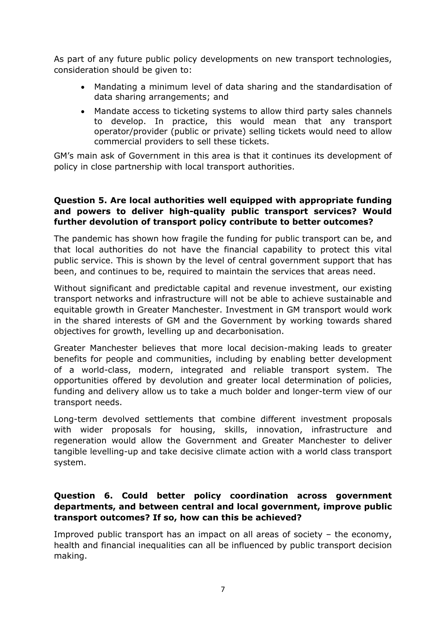As part of any future public policy developments on new transport technologies, consideration should be given to:

- Mandating a minimum level of data sharing and the standardisation of data sharing arrangements; and
- Mandate access to ticketing systems to allow third party sales channels to develop. In practice, this would mean that any transport operator/provider (public or private) selling tickets would need to allow commercial providers to sell these tickets.

GM's main ask of Government in this area is that it continues its development of policy in close partnership with local transport authorities.

### **Question 5. Are local authorities well equipped with appropriate funding and powers to deliver high-quality public transport services? Would further devolution of transport policy contribute to better outcomes?**

The pandemic has shown how fragile the funding for public transport can be, and that local authorities do not have the financial capability to protect this vital public service. This is shown by the level of central government support that has been, and continues to be, required to maintain the services that areas need.

Without significant and predictable capital and revenue investment, our existing transport networks and infrastructure will not be able to achieve sustainable and equitable growth in Greater Manchester. Investment in GM transport would work in the shared interests of GM and the Government by working towards shared objectives for growth, levelling up and decarbonisation.

Greater Manchester believes that more local decision-making leads to greater benefits for people and communities, including by enabling better development of a world-class, modern, integrated and reliable transport system. The opportunities offered by devolution and greater local determination of policies, funding and delivery allow us to take a much bolder and longer-term view of our transport needs.

Long-term devolved settlements that combine different investment proposals with wider proposals for housing, skills, innovation, infrastructure and regeneration would allow the Government and Greater Manchester to deliver tangible levelling-up and take decisive climate action with a world class transport system.

### **Question 6. Could better policy coordination across government departments, and between central and local government, improve public transport outcomes? If so, how can this be achieved?**

Improved public transport has an impact on all areas of society – the economy, health and financial inequalities can all be influenced by public transport decision making.